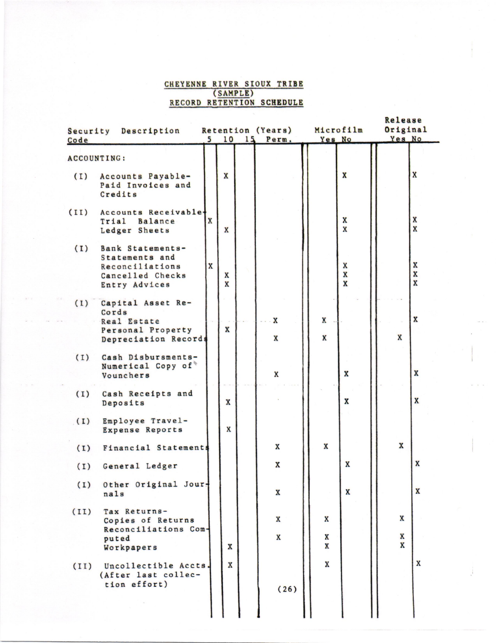## CHEYENNE RIVER SIOUX TRIBE (SAMPLE)<br>RECORD RETENTION SCHEDULE

| Security<br>Code | Description            |              | 10          | 15 | Retention (Years)<br>Perm. | Microfilm<br>Yes No |                         | Release<br>Original<br>Yes No |                           |
|------------------|------------------------|--------------|-------------|----|----------------------------|---------------------|-------------------------|-------------------------------|---------------------------|
|                  | <b>ACCOUNTING:</b>     |              |             |    |                            |                     |                         |                               |                           |
|                  |                        |              |             |    |                            |                     |                         |                               |                           |
| (1)              | Accounts Payable-      |              | X           |    |                            |                     | X                       |                               | $\mathbf{x}$              |
|                  | Paid Invoices and      |              |             |    |                            |                     |                         |                               |                           |
|                  | Credits                |              |             |    |                            |                     |                         |                               |                           |
| (II)             | Accounts Receivable.   |              |             |    |                            |                     |                         |                               |                           |
|                  | Trial Balance          | $\mathbf{x}$ |             |    |                            |                     | X                       |                               | X                         |
|                  | Ledger Sheets          |              | X           |    |                            |                     | $\overline{\mathbf{x}}$ |                               | $\overline{\mathbf{x}}$   |
| (I)              | Bank Statements-       |              |             |    |                            |                     |                         |                               |                           |
|                  | Statements and         |              |             |    |                            |                     |                         |                               |                           |
|                  | Reconciliations        | $\mathbf x$  |             |    |                            |                     | X                       |                               | X                         |
|                  | Cancelled Checks       |              | X           |    |                            |                     | X                       |                               | X                         |
|                  | Entry Advices          |              | X           |    |                            |                     | X                       |                               | $\overline{\mathbf{x}}$   |
| (1)              | Capital Asset Re-      |              |             |    |                            |                     |                         |                               |                           |
|                  | Cords                  |              |             |    |                            |                     |                         |                               |                           |
|                  | Real Estate            |              |             |    | X                          | X                   |                         |                               | $\boldsymbol{x}$          |
|                  | Personal Property      |              | X           |    |                            |                     |                         |                               |                           |
|                  | Depreciation Records   |              |             |    | X                          | X                   |                         | $\mathbf x$                   |                           |
| (1)              | Cash Disbursments-     |              |             |    |                            |                     |                         |                               |                           |
|                  | Numerical Copy of      |              |             |    |                            |                     |                         |                               |                           |
|                  | Vounchers              |              |             |    | X                          |                     | $\mathbf x$             |                               | $\mathbf{x}$              |
| (1)              | Cash Receipts and      |              |             |    |                            |                     |                         |                               |                           |
|                  | Deposits               |              | $\mathbf x$ |    |                            |                     | X                       |                               | X                         |
| (1)              | Employee Travel-       |              |             |    |                            |                     |                         |                               |                           |
|                  | <b>Expense Reports</b> |              | X           |    |                            |                     |                         |                               |                           |
| (I)              | Financial Statements   |              |             |    | X                          | X                   |                         | $\mathbf x$                   |                           |
| (1)              | General Ledger         |              |             |    | X                          |                     | X                       |                               | $\boldsymbol{\mathrm{x}}$ |
| (1)              | Other Original Jour-   |              |             |    |                            |                     |                         |                               |                           |
|                  | nals                   |              |             |    | $\mathbf x$                |                     | X                       |                               | X                         |
| (II)             | Tax Returns-           |              |             |    |                            |                     |                         |                               |                           |
|                  | Copies of Returns      |              |             |    | $\mathbf x$                | X                   |                         | X                             |                           |
|                  | Reconciliations Com-   |              |             |    |                            |                     |                         |                               |                           |
|                  | puted                  |              |             |    | X                          | X                   |                         | X                             |                           |
|                  | Workpapers             |              | X           |    |                            | X                   |                         | X                             |                           |
| (II)             | Uncollectible Accts.   |              | X           |    |                            | $\mathbf x$         |                         |                               | X                         |
|                  | (After last collec-    |              |             |    |                            |                     |                         |                               |                           |
|                  | tion effort)           |              |             |    | (26)                       |                     |                         |                               |                           |
|                  |                        |              |             |    |                            |                     |                         |                               |                           |
|                  |                        |              |             |    |                            |                     |                         |                               |                           |